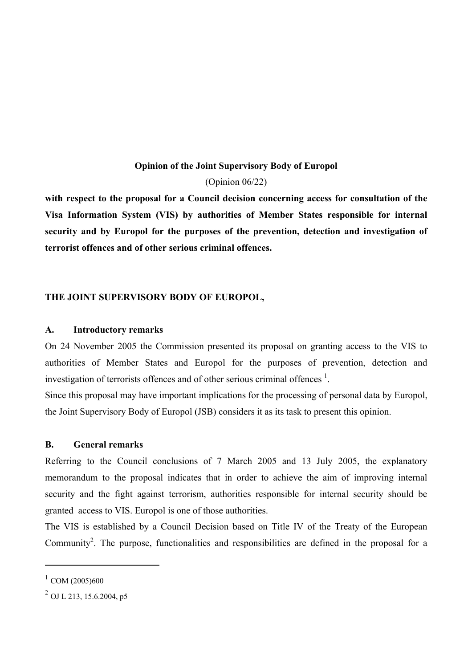# **Opinion of the Joint Supervisory Body of Europol**

# (Opinion 06/22)

**with respect to the proposal for a Council decision concerning access for consultation of the Visa Information System (VIS) by authorities of Member States responsible for internal security and by Europol for the purposes of the prevention, detection and investigation of terrorist offences and of other serious criminal offences.** 

# **THE JOINT SUPERVISORY BODY OF EUROPOL,**

### **A. Introductory remarks**

On 24 November 2005 the Commission presented its proposal on granting access to the VIS to authorities of Member States and Europol for the purposes of prevention, detection and investigation of terrorists offences and of other serious criminal offences  $<sup>1</sup>$  $<sup>1</sup>$  $<sup>1</sup>$ .</sup>

Since this proposal may have important implications for the processing of personal data by Europol, the Joint Supervisory Body of Europol (JSB) considers it as its task to present this opinion.

#### **B. General remarks**

Referring to the Council conclusions of 7 March 2005 and 13 July 2005, the explanatory memorandum to the proposal indicates that in order to achieve the aim of improving internal security and the fight against terrorism, authorities responsible for internal security should be granted access to VIS. Europol is one of those authorities.

The VIS is established by a Council Decision based on Title IV of the Treaty of the European Community<sup>2</sup>. The purpose, functionalities and responsibilities are defined in the proposal for a

<span id="page-0-0"></span> $^{1}$  COM (2005)600

<span id="page-0-1"></span> $^{2}$  OJ L 213, 15.6.2004, p5.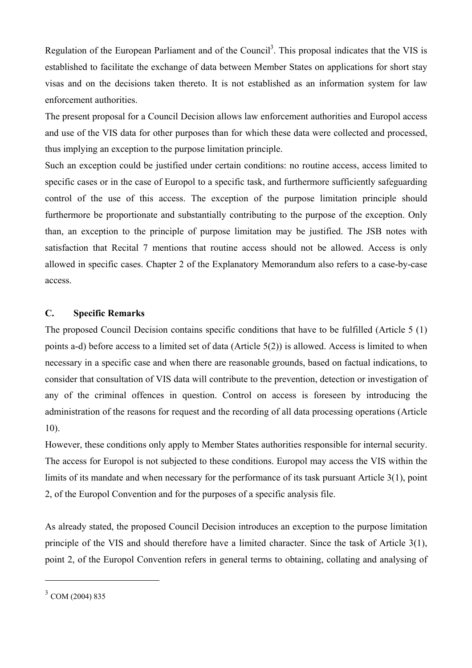Regulation of the European Parliament and of the Council<sup>[3](#page-1-0)</sup>. This proposal indicates that the VIS is established to facilitate the exchange of data between Member States on applications for short stay visas and on the decisions taken thereto. It is not established as an information system for law enforcement authorities.

The present proposal for a Council Decision allows law enforcement authorities and Europol access and use of the VIS data for other purposes than for which these data were collected and processed, thus implying an exception to the purpose limitation principle.

Such an exception could be justified under certain conditions: no routine access, access limited to specific cases or in the case of Europol to a specific task, and furthermore sufficiently safeguarding control of the use of this access. The exception of the purpose limitation principle should furthermore be proportionate and substantially contributing to the purpose of the exception. Only than, an exception to the principle of purpose limitation may be justified. The JSB notes with satisfaction that Recital 7 mentions that routine access should not be allowed. Access is only allowed in specific cases. Chapter 2 of the Explanatory Memorandum also refers to a case-by-case access.

# **C. Specific Remarks**

The proposed Council Decision contains specific conditions that have to be fulfilled (Article 5 (1) points a-d) before access to a limited set of data (Article 5(2)) is allowed. Access is limited to when necessary in a specific case and when there are reasonable grounds, based on factual indications, to consider that consultation of VIS data will contribute to the prevention, detection or investigation of any of the criminal offences in question. Control on access is foreseen by introducing the administration of the reasons for request and the recording of all data processing operations (Article 10).

However, these conditions only apply to Member States authorities responsible for internal security. The access for Europol is not subjected to these conditions. Europol may access the VIS within the limits of its mandate and when necessary for the performance of its task pursuant Article 3(1), point 2, of the Europol Convention and for the purposes of a specific analysis file.

As already stated, the proposed Council Decision introduces an exception to the purpose limitation principle of the VIS and should therefore have a limited character. Since the task of Article 3(1), point 2, of the Europol Convention refers in general terms to obtaining, collating and analysing of

<span id="page-1-0"></span><sup>3</sup> COM (2004) 835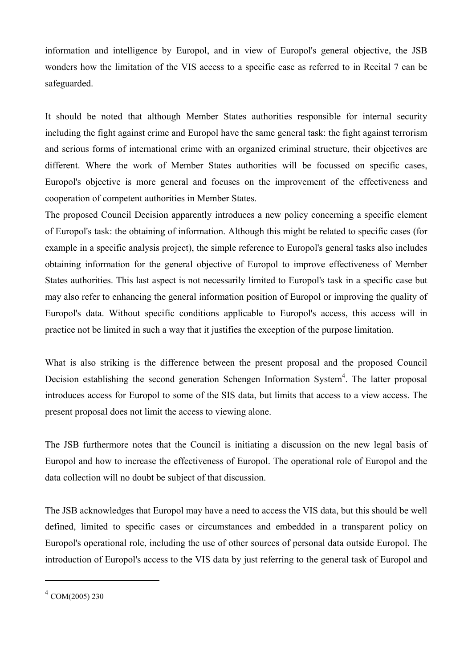information and intelligence by Europol, and in view of Europol's general objective, the JSB wonders how the limitation of the VIS access to a specific case as referred to in Recital 7 can be safeguarded.

It should be noted that although Member States authorities responsible for internal security including the fight against crime and Europol have the same general task: the fight against terrorism and serious forms of international crime with an organized criminal structure, their objectives are different. Where the work of Member States authorities will be focussed on specific cases, Europol's objective is more general and focuses on the improvement of the effectiveness and cooperation of competent authorities in Member States.

The proposed Council Decision apparently introduces a new policy concerning a specific element of Europol's task: the obtaining of information. Although this might be related to specific cases (for example in a specific analysis project), the simple reference to Europol's general tasks also includes obtaining information for the general objective of Europol to improve effectiveness of Member States authorities. This last aspect is not necessarily limited to Europol's task in a specific case but may also refer to enhancing the general information position of Europol or improving the quality of Europol's data. Without specific conditions applicable to Europol's access, this access will in practice not be limited in such a way that it justifies the exception of the purpose limitation.

What is also striking is the difference between the present proposal and the proposed Council Decision establishing the second generation Schengen Information System<sup>4</sup>. The latter proposal introduces access for Europol to some of the SIS data, but limits that access to a view access. The present proposal does not limit the access to viewing alone.

The JSB furthermore notes that the Council is initiating a discussion on the new legal basis of Europol and how to increase the effectiveness of Europol. The operational role of Europol and the data collection will no doubt be subject of that discussion.

The JSB acknowledges that Europol may have a need to access the VIS data, but this should be well defined, limited to specific cases or circumstances and embedded in a transparent policy on Europol's operational role, including the use of other sources of personal data outside Europol. The introduction of Europol's access to the VIS data by just referring to the general task of Europol and

<span id="page-2-0"></span> $4$  COM(2005) 230